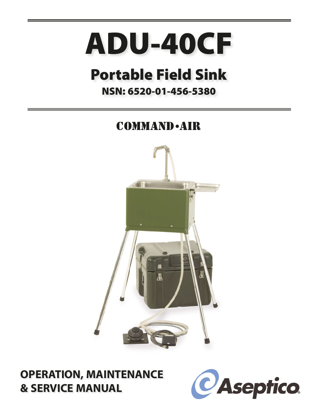# **ADU-40CF**

# **Portable Field Sink**

### **NSN: 6520-01-456-5380**

## **COMMAND** - AIR



### **OPERATION, MAINTENANCE & SERVICE MANUAL**

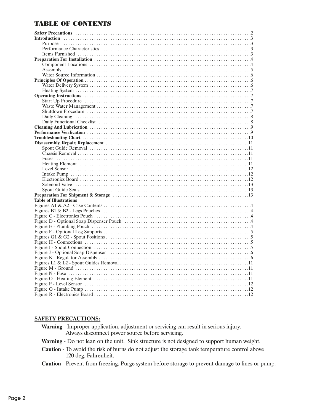#### **TABLE OF CONTENTS**

| <b>Table of Illustrations</b> |  |
|-------------------------------|--|
|                               |  |
|                               |  |
|                               |  |
|                               |  |
|                               |  |
|                               |  |
|                               |  |
|                               |  |
|                               |  |
|                               |  |
|                               |  |
|                               |  |
|                               |  |
|                               |  |
|                               |  |
|                               |  |
|                               |  |
|                               |  |
|                               |  |

#### **SAFETY PRECAUTIONS:**

Warning - Improper application, adjustment or servicing can result in serious injury. Always disconnect power source before servicing.

Warning - Do not lean on the unit. Sink structure is not designed to support human weight.

- Caution To avoid the risk of burns do not adjust the storage tank temperature control above 120 deg. Fahrenheit.
- Caution Prevent from freezing. Purge system before storage to prevent damage to lines or pump.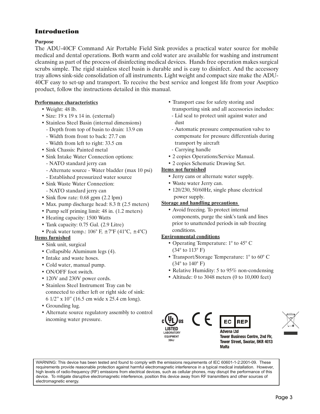#### Introduction

#### **Purpose**

The ADU-40CF Command Air Portable Field Sink provides a practical water source for mobile medical and dental operations. Both warm and cold water are available for washing and instrument cleansing as part of the process of disinfecting medical devices. Hands free operation makes surgical scrubs simple. The rigid stainless steel basin is durable and is easy to disinfect. And the accessory tray allows sink-side consolidation of all instruments. Light weight and compact size make the ADU-40CF easy to set-up and transport. To receive the best service and longest life from your Aseptico product, follow the instructions detailed in this manual.

#### **Performance characteristics**

- Weight: 48 lb.
- Size: 19 x 19 x 14 in. (external)
- Stainless Steel Basin (internal dimensions)
	- Depth from top of basin to drain: 13.9 cm
	- Width from front to back: 27.7 cm
	- Width from left to right: 33.5 cm
- Sink Chassis: Painted metal
- Sink Intake Water Connection options:
	- NATO standard jerry can
- Alternate source Water bladder (max 10 psi)
- Established pressurized water source
- Sink Waste Water Connection:
- NATO standard jerry can
- Sink flow rate: 0.68 gpm (2.2 lpm)
- Max. pump discharge head: 8.3 ft (2.5 meters)
- Pump self priming limit: 48 in. (1.2 meters)
- Heating capacity: 1500 Watts
- Tank capacity: 0.75 Gal. (2.9 Litre)
- Peak water temp.:  $106^{\circ}$  F,  $\pm 7^{\circ}$ F (41°C,  $\pm 4^{\circ}$ C)

#### **Items furnished**

- Sink unit, surgical
- Collapsible Aluminum legs (4).
- Intake and waste hoses.
- Cold water, manual pump.
- ON/OFF foot switch.
- 120V and 230V power cords.
- Stainless Steel Instrument Tray can be connected to either left or right side of sink: 6 1/2" x 10" (16.5 cm wide x 25.4 cm long).
- Grounding lug.
- Alternate source regulatory assembly to control incoming water pressure.
- Transport case for safety storing and transporting sink and all accessories includes:
- Lid seal to protect unit against water and dust
- Automatic pressure compensation valve to compensate for pressure differentials during transport by aircraft
- Carrying handle
- 2 copies Operations/Service Manual.
- 2 copies Schematic Drawing Set.

#### **Items not furnished**

- Jerry cans or alternate water supply.
- Waste water Jerry can.
- 120/230, 50/60Hz, single phase electrical power supply.

#### **Storage and handling precautions**

• Avoid freezing. To protect internal components, purge the sink's tank and lines prior to unattended periods in sub freezing conditions.

#### **Environmental conditions**

• Operating Temperature: 1° to 45° C (34° to 113° F)

 $\epsilon$ 

- Transport/Storage Temperature: 1° to 60° C (34° to 140° F)
- Relative Humidity: 5 to 95% non-condensing
- Altitude: 0 to 3048 meters (0 to 10,000 feet)







**Advena Ltd Tower Business Centre, 2nd Flr,** Tower Street, Swatar, BKR 4013 **Malta** 

WARNING: This device has been tested and found to comply with the emissions requirements of IEC 60601-1-2:2001-09. These requirements provide reasonable protection against harmful electromagnetic interference in a typical medical installation. However, high levels of radio-frequency (RF) emissions from electrical devices, such as cellular phones, may disrupt the performance of this device. To mitigate disruptive electromagnetic interference, position this device away from RF transmitters and other sources of electromagnetic energy.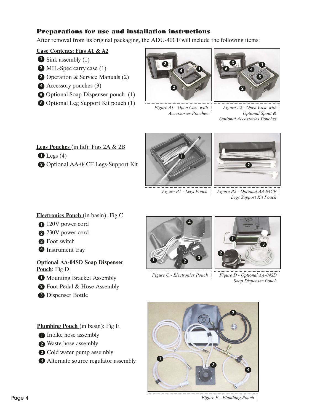#### Preparations for use and installation instructions

After removal from its original packaging, the ADU-40CF will include the following items:

#### **Case Contents: Figs A1 & A2**

- **1** Sink assembly (1)
- 2 MIL-Spec carry case (1)
- **3** Operation & Service Manuals (2)
- 4 Accessory pouches (3)
- **5** Optional Soap Dispenser pouch (1)
- **6** Optional Leg Support Kit pouch (1)



*Figure A1 - Open Case with Accessories Pouches*



*Figure A2 - Open Case with Optional Spout & Optional Accessories Pouches*

**Legs Pouches** (in lid): Figs 2A & 2B  $\bf{D}$  Legs (4) 2 Optional AA-04CF Legs-Support Kit





*Figure B1 - Legs Pouch Figure B2 - Optional AA-04CF Legs Support Kit Pouch*

#### **Electronics Pouch** (in basin): Fig C

- 120V power cord
- 2 230V power cord
- **3** Foot switch
- **4** Instrument tray

#### **Optional AA-04SD Soap Dispenser Pouch**: Fig D

- **I** Mounting Bracket Assembly
- 2 Foot Pedal & Hose Assembly
- **3** Dispenser Bottle

**Plumbing Pouch** (in basin): Fig E

- **1** Intake hose assembly
- 2 Waste hose assembly
- **3** Cold water pump assembly
- Alternate source regulator assembly 4



*Figure C - Electronics Pouch*



*Figure D - Optional AA-04SD Soap Dispenser Pouch*



*Figure E - Plumbing Pouch*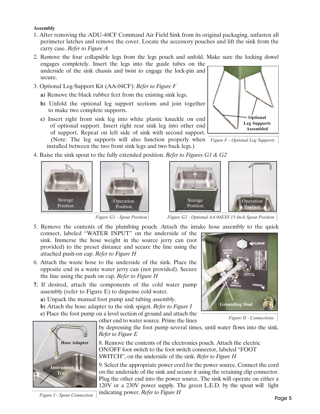#### **Assembly**

- 1. After removing the ADU-40CF Command Air Field Sink from its original packaging, unfasten all perimeter latches and remove the cover. Locate the accessory pouches and lift the sink from the carry case. *Refer to Figure A*
- 2. Remove the four collapsible legs from the legs pouch and unfold. Make sure the locking dowel engages completely. Insert the legs into the guide tubes on the
- underside of the sink chassis and twist to engage the lock-pin and secure.
- 3. Optional Leg-Support Kit (AA-04CF): *Refer to Figure F*
	- **a)** Remove the black rubber feet from the existing sink legs.
	- **b)** Unfold the optional leg support sections and join together to make two complete supports.
	- **c)** Insert right front sink leg into white plastic knuckle on end of optional support. Insert right rear sink leg into other end of support. Repeat on left side of sink with second support.

(Note: The leg supports will also function properly when *Figure F - Optional Leg Supports* installed between the two front sink legs and two back legs.)

4. Raise the sink spout to the fully extended position. *Refer to Figures G1 & G2*



*Figure G1 - Spout Position*

5. Remove the contents of the plumbing pouch. Attach the intake hose assembly to the quick

- connect, labeled "WATER INPUT" on the underside of the sink. Immerse the hose weight in the source jerry can (not provided) to the preset distance and secure the line using the attached push-on cap. *Refer to Figure H*
- 6. Attach the waste hose to the underside of the sink. Place the opposite end in a waste water jerry can (not provided). Secure the line using the push on cap. *Refer to Figure H*
- **7.** If desired, attach the components of the cold water pump assembly (refer to Figure E) to dispense cold water.
	- **a)** Unpack the manual foot pump and tubing assembly.
	- **b)** Attach the hose adapter to the sink spigot. *Refer to Figure I*
	- **c)** Place the foot pump on a level section of ground and attach the

other end to water source. Prime the lines



by depressing the foot pump several times, until water flows into the sink. *Refer to Figure E*

8. Remove the contents of the electronics pouch. Attach the electric ON/OFF foot switch to the foot switch connector, labeled "FOOT SWITCH", on the underside of the sink. *Refer to Figure H*

9. Select the appropriate power cord for the power source. Connect the cord on the underside of the sink and secure it using the retaining clip connector. Plug the other end into the power source. The sink will operate on either a 120V or a 230V power supply. The green L.E.D. by the spout will light indicating power. *Refer to Figure H*

*Figure I - Spout Connection*

**Optional Leg Supports Assembled**



*Figure H - Connections* **Grounding Stud**

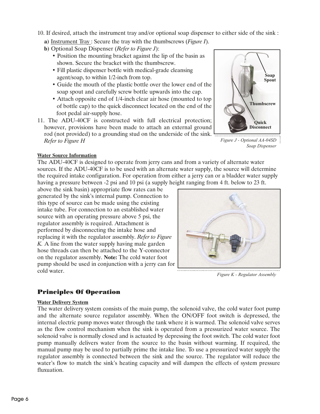- 10. If desired, attach the instrument tray and/or optional soap dispenser to either side of the sink :
	- **a)** Instrument Tray : Secure the tray with the thumbscrews (*Figure I*).
	- **b)** Optional Soap Dispenser (*Refer to Figure J*):
		- Position the mounting bracket against the lip of the basin as shown. Secure the bracket with the thumbscrew.
		- Fill plastic dispenser bottle with medical-grade cleansing agent/soap, to within 1/2-inch from top.
		- Guide the mouth of the plastic bottle over the lower end of the soap spout and carefully screw bottle upwards into the cap.
		- Attach opposite end of 1/4-inch clear air hose (mounted to top of bottle cap) to the quick disconnect located on the end of the foot pedal air-supply hose.
- 11. The ADU-40CF is constructed with full electrical protection; however, provisions have been made to attach an external ground rod (not provided) to a grounding stud on the underside of the sink. *Refer to Figure H*



*Figure J - Optional AA-04SD Soap Dispenser*

#### **Water Source Information**

The ADU-40CF is designed to operate from jerry cans and from a variety of alternate water sources. If the ADU-40CF is to be used with an alternate water supply, the source will determine the required intake configuration. For operation from either a jerry can or a bladder water supply having a pressure between -2 psi and 10 psi (a supply height ranging from 4 ft. below to 23 ft.

above the sink basin) appropriate flow rates can be generated by the sink's internal pump. Connection to this type of source can be made using the existing intake tube. For connection to an established water source with an operating pressure above 5 psi, the regulator assembly is required. Attachment is performed by disconnecting the intake hose and replacing it with the regulator assembly. *Refer to Figure K.* A line from the water supply having male garden hose threads can then be attached to the Y-connector on the regulator assembly. **Note:** The cold water foot pump should be used in conjunction with a jerry can for cold water.



*Figure K - Regulator Assembly*

#### Principles Of Operation

#### **Water Delivery System**

The water delivery system consists of the main pump, the solenoid valve, the cold water foot pump and the alternate source regulator assembly. When the ON/OFF foot switch is depressed, the internal electric pump moves water through the tank where it is warmed. The solenoid valve serves as the flow control mechanism when the sink is operated from a pressurized water source. The solenoid valve is normally closed and is actuated by depressing the foot switch. The cold water foot pump manually delivers water from the source to the basin without warming. If required, the manual pump may be used to partially prime the intake line. To use a pressurized water supply the regulator assembly is connected between the sink and the source. The regulator will reduce the water's flow to match the sink's heating capacity and will dampen the effects of system pressure fluxuation.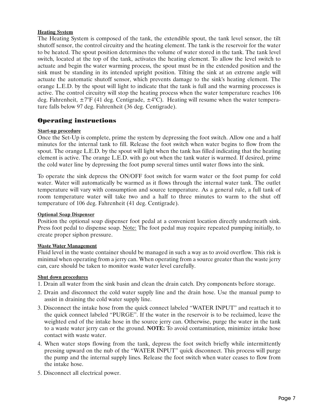#### **Heating System**

The Heating System is composed of the tank, the extendible spout, the tank level sensor, the tilt shutoff sensor, the control circuitry and the heating element. The tank is the reservoir for the water to be heated. The spout position determines the volume of water stored in the tank. The tank level switch, located at the top of the tank, activates the heating element. To allow the level switch to actuate and begin the water warming process, the spout must be in the extended position and the sink must be standing in its intended upright position. Tilting the sink at an extreme angle will actuate the automatic shutoff sensor, which prevents damage to the sink's heating element. The orange L.E.D. by the spout will light to indicate that the tank is full and the warming processes is active. The control circuitry will stop the heating process when the water temperature reaches 106 deg. Fahrenheit,  $\pm 7^{\circ}F$  (41 deg. Centigrade,  $\pm 4^{\circ}C$ ). Heating will resume when the water temperature falls below 97 deg. Fahrenheit (36 deg. Centigrade).

#### Operating instructions

#### **Start-up procedure**

Once the Set-Up is complete, prime the system by depressing the foot switch. Allow one and a half minutes for the internal tank to fill. Release the foot switch when water begins to flow from the spout. The orange L.E.D. by the spout will light when the tank has filled indicating that the heating element is active. The orange L.E.D. with go out when the tank water is warmed. If desired, prime the cold water line by depressing the foot pump several times until water flows into the sink.

To operate the sink depress the ON/OFF foot switch for warm water or the foot pump for cold water. Water will automatically be warmed as it flows through the internal water tank. The outlet temperature will vary with consumption and source temperature. As a general rule, a full tank of room temperature water will take two and a half to three minutes to warm to the shut off temperature of 106 deg. Fahrenheit (41 deg. Centigrade).

#### **Optional Soap Dispenser**

Position the optional soap dispenser foot pedal at a convenient location directly underneath sink. Press foot pedal to dispense soap. Note: The foot pedal may require repeated pumping initially, to create proper siphon pressure.

#### **Waste Water Management**

Fluid level in the waste container should be managed in such a way as to avoid overflow. This risk is minimal when operating from a jerry can. When operating from a source greater than the waste jerry can, care should be taken to monitor waste water level carefully.

#### **Shut down procedures**

- 1. Drain all water from the sink basin and clean the drain catch. Dry components before storage.
- 2. Drain and disconnect the cold water supply line and the drain hose. Use the manual pump to assist in draining the cold water supply line.
- 3. Disconnect the intake hose from the quick connect labeled "WATER INPUT" and reattach it to the quick connect labeled "PURGE". If the water in the reservoir is to be reclaimed, leave the weighted end of the intake hose in the source jerry can. Otherwise, purge the water in the tank to a waste water jerry can or the ground. **NOTE:** To avoid contamination, minimize intake hose contact with waste water.
- 4. When water stops flowing from the tank, depress the foot switch briefly while intermittently pressing upward on the nub of the "WATER INPUT" quick disconnect. This process will purge the pump and the internal supply lines. Release the foot switch when water ceases to flow from the intake hose.
- 5. Disconnect all electrical power.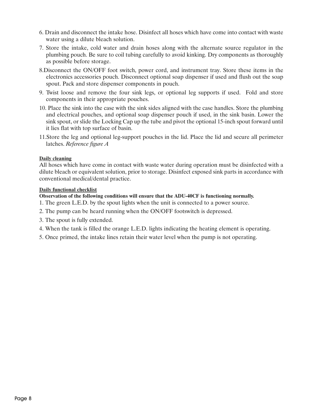- 6. Drain and disconnect the intake hose. Disinfect all hoses which have come into contact with waste water using a dilute bleach solution.
- 7. Store the intake, cold water and drain hoses along with the alternate source regulator in the plumbing pouch. Be sure to coil tubing carefully to avoid kinking. Dry components as thoroughly as possible before storage.
- 8.Disconnect the ON/OFF foot switch, power cord, and instrument tray. Store these items in the electronics accessories pouch. Disconnect optional soap dispenser if used and flush out the soap spout. Pack and store dispenser components in pouch.
- 9. Twist loose and remove the four sink legs, or optional leg supports if used. Fold and store components in their appropriate pouches.
- 10. Place the sink into the case with the sink sides aligned with the case handles. Store the plumbing and electrical pouches, and optional soap dispenser pouch if used, in the sink basin. Lower the sink spout, or slide the Locking Cap up the tube and pivot the optional 15-inch spout forward until it lies flat with top surface of basin.
- 11.Store the leg and optional leg-support pouches in the lid. Place the lid and secure all perimeter latches. *Reference figure A*

#### **Daily cleaning**

All hoses which have come in contact with waste water during operation must be disinfected with a dilute bleach or equivalent solution, prior to storage. Disinfect exposed sink parts in accordance with conventional medical/dental practice.

#### **Daily functional checklist**

- **Observation of the following conditions will ensure that the ADU-40CF is functioning normally.**
- 1. The green L.E.D. by the spout lights when the unit is connected to a power source.
- 2. The pump can be heard running when the ON/OFF footswitch is depressed.
- 3. The spout is fully extended.
- 4. When the tank is filled the orange L.E.D. lights indicating the heating element is operating.
- 5. Once primed, the intake lines retain their water level when the pump is not operating.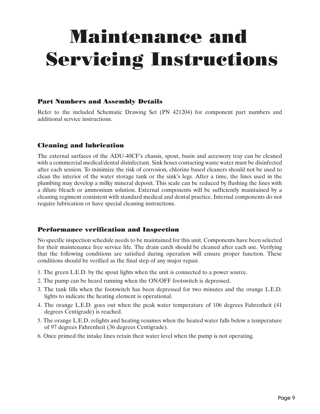# Maintenance and Servicing Instructions

#### Part Numbers and Assembly Details

Refer to the included Schematic Drawing Set (PN 421204) for component part numbers and additional service instructions.

#### Cleaning and lubrication

The external surfaces of the ADU-40CF's chassis, spout, basin and accessory tray can be cleaned with a commercial medical/dental disinfectant. Sink hoses contacting waste water must be disinfected after each session. To minimize the risk of corrosion, chlorine based cleaners should not be used to clean the interior of the water storage tank or the sink's legs. After a time, the lines used in the plumbing may develop a milky mineral deposit. This scale can be reduced by flushing the lines with a dilute bleach or ammonium solution. External components will be sufficiently maintained by a cleaning regiment consistent with standard medical and dental practice. Internal components do not require lubrication or have special cleaning instructions.

#### Performance verification and Inspection

No specific inspection schedule needs to be maintained for this unit. Components have been selected for their maintenance free service life. The drain catch should be cleaned after each use. Verifying that the following conditions are satisfied during operation will ensure proper function. These conditions should be verified as the final step of any major repair.

- 1. The green L.E.D. by the spout lights when the unit is connected to a power source.
- 2. The pump can be heard running when the ON/OFF footswitch is depressed.
- 3. The tank fills when the footswitch has been depressed for two minutes and the orange L.E.D. lights to indicate the heating element is operational.
- 4. The orange L.E.D. goes out when the peak water temperature of 106 degrees Fahrenheit (41 degrees Centigrade) is reached.
- 5. The orange L.E.D. relights and heating resumes when the heated water falls below a temperature of 97 degrees Fahrenheit (36 degrees Centigrade).
- 6. Once primed the intake lines retain their water level when the pump is not operating.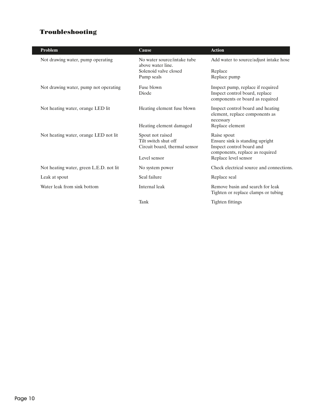#### Troubleshooting

| <b>Problem</b>                          | Cause                                            | <b>Action</b>                                                |
|-----------------------------------------|--------------------------------------------------|--------------------------------------------------------------|
| Not drawing water, pump operating       | No water source/intake tube<br>above water line. | Add water to source/adjust intake hose                       |
|                                         | Solenoid valve closed                            | Replace                                                      |
|                                         | Pump seals                                       | Replace pump                                                 |
| Not drawing water, pump not operating   | Fuse blown                                       | Inspect pump, replace if required                            |
|                                         | Diode                                            | Inspect control board, replace                               |
|                                         |                                                  | components or board as required                              |
| Not heating water, orange LED lit       | Heating element fuse blown                       | Inspect control board and heating                            |
|                                         |                                                  | element, replace components as                               |
|                                         |                                                  | necessary                                                    |
|                                         | Heating element damaged                          | Replace element                                              |
| Not heating water, orange LED not lit   | Spout not raised                                 | Raise spout                                                  |
|                                         | Tilt switch shut off                             | Ensure sink is standing upright                              |
|                                         | Circuit board, thermal sensor                    | Inspect control board and<br>components, replace as required |
|                                         | Level sensor                                     | Replace level sensor                                         |
|                                         |                                                  |                                                              |
| Not heating water, green L.E.D. not lit | No system power                                  | Check electrical source and connections.                     |
| Leak at spout                           | Seal failure                                     | Replace seal                                                 |
| Water leak from sink bottom             | Internal leak                                    | Remove basin and search for leak                             |
|                                         |                                                  | Tighten or replace clamps or tubing                          |
|                                         | Tank                                             | Tighten fittings                                             |
|                                         |                                                  |                                                              |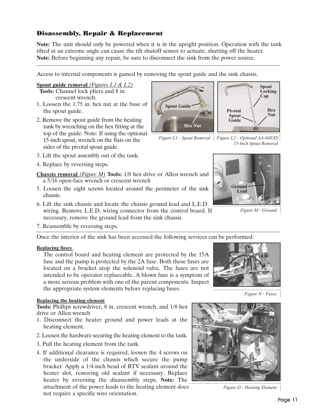#### Disassembly, Repair & Replacement

**Note:** The unit should only be powered when it is in the upright position. Operation with the tank tilted at an extreme angle can cause the tilt shutoff sensor to actuate, shutting off the heater. **Note:** Before beginning any repair, be sure to disconnect the sink from the power source.

Access to internal components is gained by removing the spout guide and the sink chassis.

#### **Spout guide removal** *(Figures L1 & L2)*

**Tools:** Channel lock pliers and 8 in. crescent wrench.

- 1. Loosen the 1.75 in. hex nut at the base of the spout guide.
- 2. Remove the spout guide from the heating tank by wrenching on the hex fitting at the top of the guide. Note: If using the optional 15-inch spout, wrench on the flats on the sides of the pivotal spout guide.
- 3. Lift the spout assembly out of the tank.
- 4. Replace by reversing steps.

**Chassis removal** *(Figure M)* **Tools:** 1/8 hex drive or Allen wrench and a 5/16 open-face wrench or crescent wrench

- 5. Loosen the eight screws located around the perimeter of the sink chassis.
- 6. Lift the sink chassis and locate the chassis ground lead and L.E.D. wiring. Remove L.E.D. wiring connector from the control board. If necessary, remove the ground lead from the sink chassis.
- 7. Reassemble by reversing steps.

Once the interior of the sink has been accessed the following services can be performed:

#### **Replacing fuses**

The control board and heating element are protected by the 15A fuse and the pump is protected by the 2A fuse. Both these fuses are located on a bracket atop the solenoid valve. The fuses are not intended to be operator replaceable. A blown fuse is a symptom of a more serious problem with one of the parent components. Inspect the appropriate system elements before replacing fuses.

#### **Replacing the heating element**

**Tools:** Phillips screwdriver, 8 in. crescent wrench, and 1/8 hex drive or Allen wrench

- 1. Disconnect the heater ground and power leads at the heating element.
- 2. Loosen the hardware securing the heating element to the tank.
- 3. Pull the heating element from the tank.
- 4. If additional clearance is required, loosen the 4 screws on the underside of the chassis which secure the pump bracket. Apply a 1/4-inch bead of RTV sealant around the heater slot, removing old sealant if necessary. Replace heater by reversing the disassembly steps. **Note:** The attachment of the power leads to the heating element does not require a specific wire orientation.

**Hex Nut**

E's

**Spout Guide**

*Figure O - Heating Element*



**Pivotal Spout Guide**

*Figure M - Ground*

**Hex Nut**

**Spout Locking Cap**

*Figure N - Fuses*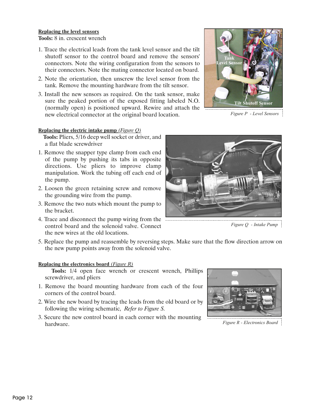#### **Replacing the level sensors Tools:** 8 in. crescent wrench

- 1. Trace the electrical leads from the tank level sensor and the tilt shutoff sensor to the control board and remove the sensors' connectors. Note the wiring configuration from the sensors to their connectors. Note the mating connector located on board.
- 2. Note the orientation, then unscrew the level sensor from the tank. Remove the mounting hardware from the tilt sensor.
- 3. Install the new sensors as required. On the tank sensor, make sure the peaked portion of the exposed fitting labeled N.O. (normally open) is positioned upward. Rewire and attach the new electrical connector at the original board location.

#### **Replacing the electric intake pump** *(Figure Q)*

**Tools:** Pliers, 5/16 deep well socket or driver, and a flat blade screwdriver

- 1. Remove the snapper type clamp from each end of the pump by pushing its tabs in opposite directions. Use pliers to improve clamp manipulation. Work the tubing off each end of the pump.
- 2. Loosen the green retaining screw and remove the grounding wire from the pump.
- 3. Remove the two nuts which mount the pump to the bracket.
- 4. Trace and disconnect the pump wiring from the control board and the solenoid valve. Connect the new wires at the old locations.
- 5. Replace the pump and reassemble by reversing steps. Make sure that the flow direction arrow on the new pump points away from the solenoid valve.

#### **Replacing the electronics board** *(Figure R)*

**Tools:** 1/4 open face wrench or crescent wrench, Phillips screwdriver, and pliers

- 1. Remove the board mounting hardware from each of the four corners of the control board.
- 2. Wire the new board by tracing the leads from the old board or by following the wiring schematic, *Refer to Figure S.*
- 3. Secure the new control board in each corner with the mounting hardware.





*Figure Q - Intake Pump*



*Figure R - Electronics Board*

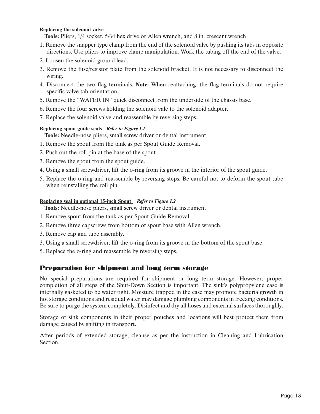#### **Replacing the solenoid valve**

**Tools:** Pliers, 1/4 socket, 5/64 hex drive or Allen wrench, and 8 in. crescent wrench

- 1. Remove the snapper type clamp from the end of the solenoid valve by pushing its tabs in opposite directions. Use pliers to improve clamp manipulation. Work the tubing off the end of the valve.
- 2. Loosen the solenoid ground lead.
- 3. Remove the fuse/resistor plate from the solenoid bracket. It is not necessary to disconnect the wiring.
- 4. Disconnect the two flag terminals. **Note:** When reattaching, the flag terminals do not require specific valve tab orientation.
- 5. Remove the "WATER IN" quick disconnect from the underside of the chassis base.
- 6. Remove the four screws holding the solenoid vale to the solenoid adapter.
- 7. Replace the solenoid valve and reassemble by reversing steps.

#### **Replacing spout guide seals** *Refer to Figure L1*

**Tools:** Needle-nose pliers, small screw driver or dental instrument

- 1. Remove the spout from the tank as per Spout Guide Removal.
- 2. Push out the roll pin at the base of the spout
- 3. Remove the spout from the spout guide.
- 4. Using a small screwdriver, lift the o-ring from its groove in the interior of the spout guide.
- 5. Replace the o-ring and reassemble by reversing steps. Be careful not to deform the spout tube when reinstalling the roll pin.

#### **Replacing seal in optional 15-inch Spout** *Refer to Figure L2*

**Tools:** Needle-nose pliers, small screw driver or dental instrument

- 1. Remove spout from the tank as per Spout Guide Removal.
- 2. Remove three capscrews from bottom of spout base with Allen wrench.
- 3. Remove cap and tube assembly.
- 3. Using a small screwdriver, lift the o-ring from its groove in the bottom of the spout base.
- 5. Replace the o-ring and reassemble by reversing steps.

#### Preparation for shipment and long term storage

No special preparations are required for shipment or long term storage. However, proper completion of all steps of the Shut-Down Section is important. The sink's polypropylene case is internally gasketed to be water tight. Moisture trapped in the case may promote bacteria growth in hot storage conditions and residual water may damage plumbing components in freezing conditions. Be sure to purge the system completely. Disinfect and dry all hoses and external surfaces thoroughly.

Storage of sink components in their proper pouches and locations will best protect them from damage caused by shifting in transport.

After periods of extended storage, cleanse as per the instruction in Cleaning and Lubrication Section.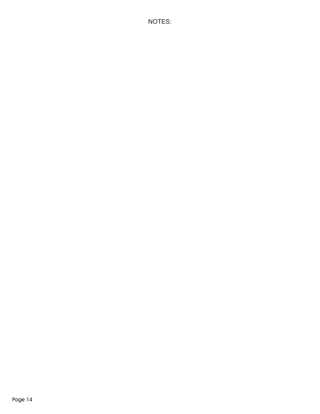NOTES: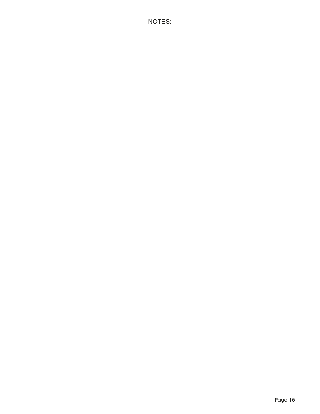NOTES: